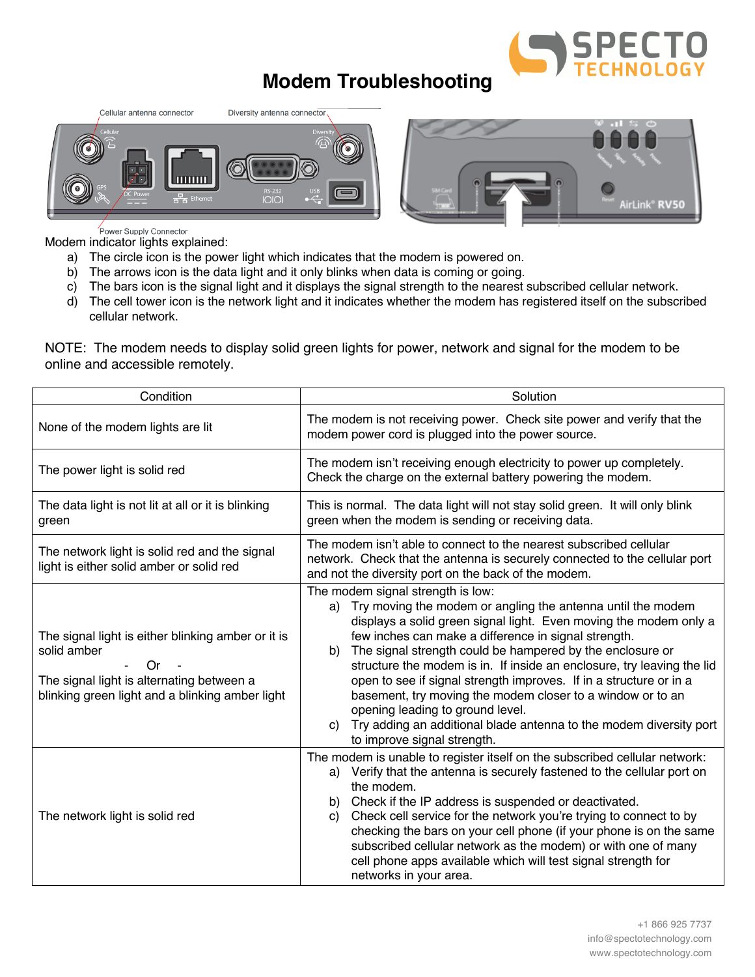

## **Modem Troubleshooting**





Power Supply Connector

Modem indicator lights explained:

- a) The circle icon is the power light which indicates that the modem is powered on.
- b) The arrows icon is the data light and it only blinks when data is coming or going.
- c) The bars icon is the signal light and it displays the signal strength to the nearest subscribed cellular network.
- d) The cell tower icon is the network light and it indicates whether the modem has registered itself on the subscribed cellular network.

NOTE: The modem needs to display solid green lights for power, network and signal for the modem to be online and accessible remotely.

| Condition                                                                                                                                                               | Solution                                                                                                                                                                                                                                                                                                                                                                                                                                                                                                                                                                                                                                                         |
|-------------------------------------------------------------------------------------------------------------------------------------------------------------------------|------------------------------------------------------------------------------------------------------------------------------------------------------------------------------------------------------------------------------------------------------------------------------------------------------------------------------------------------------------------------------------------------------------------------------------------------------------------------------------------------------------------------------------------------------------------------------------------------------------------------------------------------------------------|
| None of the modem lights are lit                                                                                                                                        | The modem is not receiving power. Check site power and verify that the<br>modem power cord is plugged into the power source.                                                                                                                                                                                                                                                                                                                                                                                                                                                                                                                                     |
| The power light is solid red                                                                                                                                            | The modem isn't receiving enough electricity to power up completely.<br>Check the charge on the external battery powering the modem.                                                                                                                                                                                                                                                                                                                                                                                                                                                                                                                             |
| The data light is not lit at all or it is blinking<br>green                                                                                                             | This is normal. The data light will not stay solid green. It will only blink<br>green when the modem is sending or receiving data.                                                                                                                                                                                                                                                                                                                                                                                                                                                                                                                               |
| The network light is solid red and the signal<br>light is either solid amber or solid red                                                                               | The modem isn't able to connect to the nearest subscribed cellular<br>network. Check that the antenna is securely connected to the cellular port<br>and not the diversity port on the back of the modem.                                                                                                                                                                                                                                                                                                                                                                                                                                                         |
| The signal light is either blinking amber or it is<br>solid amber<br>Or<br>The signal light is alternating between a<br>blinking green light and a blinking amber light | The modem signal strength is low:<br>a) Try moving the modem or angling the antenna until the modem<br>displays a solid green signal light. Even moving the modem only a<br>few inches can make a difference in signal strength.<br>The signal strength could be hampered by the enclosure or<br>b)<br>structure the modem is in. If inside an enclosure, try leaving the lid<br>open to see if signal strength improves. If in a structure or in a<br>basement, try moving the modem closer to a window or to an<br>opening leading to ground level.<br>Try adding an additional blade antenna to the modem diversity port<br>C)<br>to improve signal strength. |
| The network light is solid red                                                                                                                                          | The modem is unable to register itself on the subscribed cellular network:<br>a) Verify that the antenna is securely fastened to the cellular port on<br>the modem.<br>b) Check if the IP address is suspended or deactivated.<br>Check cell service for the network you're trying to connect to by<br>C)<br>checking the bars on your cell phone (if your phone is on the same<br>subscribed cellular network as the modem) or with one of many<br>cell phone apps available which will test signal strength for<br>networks in your area.                                                                                                                      |